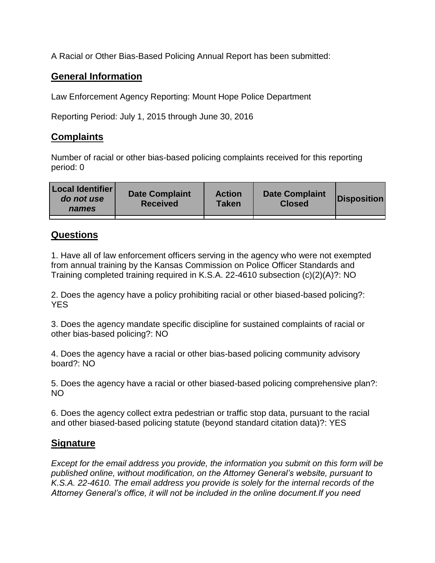A Racial or Other Bias-Based Policing Annual Report has been submitted:

## **General Information**

Law Enforcement Agency Reporting: Mount Hope Police Department

Reporting Period: July 1, 2015 through June 30, 2016

## **Complaints**

Number of racial or other bias-based policing complaints received for this reporting period: 0

| <b>Local Identifier</b><br>do not use<br>names | <b>Date Complaint</b><br><b>Received</b> | <b>Action</b><br><b>Taken</b> | <b>Date Complaint</b><br><b>Closed</b> | Disposition |
|------------------------------------------------|------------------------------------------|-------------------------------|----------------------------------------|-------------|
|                                                |                                          |                               |                                        |             |

## **Questions**

1. Have all of law enforcement officers serving in the agency who were not exempted from annual training by the Kansas Commission on Police Officer Standards and Training completed training required in K.S.A. 22-4610 subsection (c)(2)(A)?: NO

2. Does the agency have a policy prohibiting racial or other biased-based policing?: YES

3. Does the agency mandate specific discipline for sustained complaints of racial or other bias-based policing?: NO

4. Does the agency have a racial or other bias-based policing community advisory board?: NO

5. Does the agency have a racial or other biased-based policing comprehensive plan?: NO

6. Does the agency collect extra pedestrian or traffic stop data, pursuant to the racial and other biased-based policing statute (beyond standard citation data)?: YES

## **Signature**

*Except for the email address you provide, the information you submit on this form will be published online, without modification, on the Attorney General's website, pursuant to K.S.A. 22-4610. The email address you provide is solely for the internal records of the Attorney General's office, it will not be included in the online document.If you need*